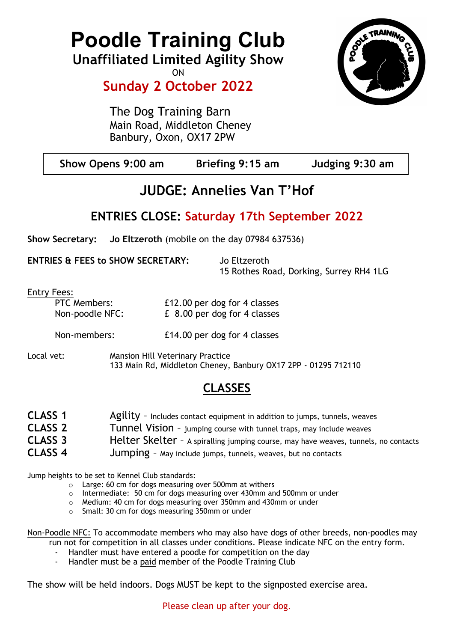# Poodle Training Club

Unaffiliated Limited Agility Show **ON** 

# Sunday 2 October 2022

The Dog Training Barn Main Road, Middleton Cheney Banbury, Oxon, OX17 2PW



| Show Opens 9:00 am | Briefing 9:15 am | Judging 9:30 am |
|--------------------|------------------|-----------------|
|                    |                  |                 |

# JUDGE: Annelies Van T'Hof

## ENTRIES CLOSE: Saturday 17th September 2022

Show Secretary: Jo Eltzeroth (mobile on the day 07984 637536)

ENTRIES & FEES to SHOW SECRETARY: Jo Eltzeroth

15 Rothes Road, Dorking, Surrey RH4 1LG

Entry Fees:

| <b>PTC Members:</b> | £12.00 per dog for 4 classes |
|---------------------|------------------------------|
| Non-poodle NFC:     | £ 8.00 per dog for 4 classes |
| Non-members:        | £14.00 per dog for 4 classes |

Local vet: Mansion Hill Veterinary Practice 133 Main Rd, Middleton Cheney, Banbury OX17 2PP - 01295 712110

# CLASSES

| <b>CLASS 1</b> | $\Delta$ gility - Includes contact equipment in addition to jumps, tunnels, weaves  |
|----------------|-------------------------------------------------------------------------------------|
| <b>CLASS 2</b> | Tunnel Vision - jumping course with tunnel traps, may include weaves                |
| <b>CLASS 3</b> | Helter Skelter - A spiralling jumping course, may have weaves, tunnels, no contacts |
| <b>CLASS 4</b> | <b>Jumping</b> - May include jumps, tunnels, weaves, but no contacts                |

Jump heights to be set to Kennel Club standards:

- o Large: 60 cm for dogs measuring over 500mm at withers
- o Intermediate: 50 cm for dogs measuring over 430mm and 500mm or under
- o Medium: 40 cm for dogs measuring over 350mm and 430mm or under
- o Small: 30 cm for dogs measuring 350mm or under

Non-Poodle NFC: To accommodate members who may also have dogs of other breeds, non-poodles may run not for competition in all classes under conditions. Please indicate NFC on the entry form.

- Handler must have entered a poodle for competition on the day
- Handler must be a paid member of the Poodle Training Club

The show will be held indoors. Dogs MUST be kept to the signposted exercise area.

Please clean up after your dog.